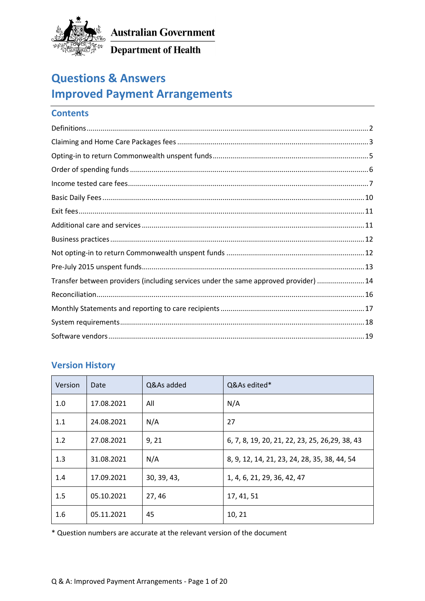

Department of Health

# **Questions & Answers Improved Payment Arrangements**

## **Contents**

| Transfer between providers (including services under the same approved provider)  14 |  |
|--------------------------------------------------------------------------------------|--|
|                                                                                      |  |
|                                                                                      |  |
|                                                                                      |  |
|                                                                                      |  |

### **Version History**

| Version | Date       | Q&As added  | Q&As edited*                                    |
|---------|------------|-------------|-------------------------------------------------|
| 1.0     | 17.08.2021 | All         | N/A                                             |
| 1.1     | 24.08.2021 | N/A         | 27                                              |
| 1.2     | 27.08.2021 | 9, 21       | 6, 7, 8, 19, 20, 21, 22, 23, 25, 26, 29, 38, 43 |
| 1.3     | 31.08.2021 | N/A         | 8, 9, 12, 14, 21, 23, 24, 28, 35, 38, 44, 54    |
| 1.4     | 17.09.2021 | 30, 39, 43, | 1, 4, 6, 21, 29, 36, 42, 47                     |
| 1.5     | 05.10.2021 | 27,46       | 17, 41, 51                                      |
| 1.6     | 05.11.2021 | 45          | 10, 21                                          |

\* Question numbers are accurate at the relevant version of the document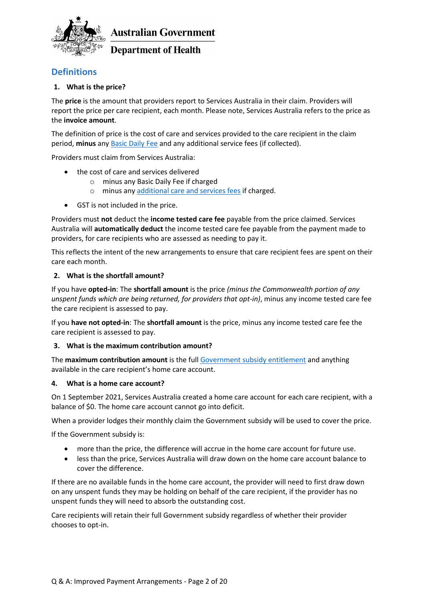

### **Department of Health**

### <span id="page-1-0"></span>**Definitions**

### <span id="page-1-1"></span>**1. What is the price?**

The **price** is the amount that providers report to Services Australia in their claim. Providers will report the price per care recipient, each month. Please note, Services Australia refers to the price as the **invoice amount**.

The definition of price is the cost of care and services provided to the care recipient in the claim period, **minus** any [Basic Daily Fee](https://www.health.gov.au/initiatives-and-programs/home-care-packages-program/charging-for-home-care-package-services/fees-for-people-entering-home-care-packages-from-1-july-2014#basic-daily-fee) and any additional service fees (if collected).

Providers must claim from Services Australia:

- the cost of care and services delivered
	- o minus any Basic Daily Fee if charged
	- o minus any [additional care and services fees](https://www.health.gov.au/initiatives-and-programs/home-care-packages-program/charging-for-home-care-package-services/fees-for-people-entering-home-care-packages-from-1-july-2014#amounts-for-additional-care-and-services) if charged.
- GST is not included in the price.

Providers must **not** deduct the **income tested care fee** payable from the price claimed. Services Australia will **automatically deduct** the income tested care fee payable from the payment made to providers, for care recipients who are assessed as needing to pay it.

This reflects the intent of the new arrangements to ensure that care recipient fees are spent on their care each month.

### <span id="page-1-2"></span>**2. What is the shortfall amount?**

If you have **opted-in**: The **shortfall amount** is the price *(minus the Commonwealth portion of any unspent funds which are being returned, for providers that opt-in)*, minus any income tested care fee the care recipient is assessed to pay.

If you **have not opted-in**: The **shortfall amount** is the price, minus any income tested care fee the care recipient is assessed to pay.

### <span id="page-1-3"></span>**3. What is the maximum contribution amount?**

The **maximum contribution amount** is the full [Government subsidy entitlement](https://www.health.gov.au/initiatives-and-programs/home-care-packages-program/funding-for-home-care-packages/home-care-packages-subsidy) and anything available in the care recipient's home care account.

### **4. What is a home care account?**

On 1 September 2021, Services Australia created a home care account for each care recipient, with a balance of \$0. The home care account cannot go into deficit.

When a provider lodges their monthly claim the Government subsidy will be used to cover the price.

If the Government subsidy is:

- more than the price, the difference will accrue in the home care account for future use.
- less than the price, Services Australia will draw down on the home care account balance to cover the difference.

If there are no available funds in the home care account, the provider will need to first draw down on any unspent funds they may be holding on behalf of the care recipient, if the provider has no unspent funds they will need to absorb the outstanding cost.

Care recipients will retain their full Government subsidy regardless of whether their provider chooses to opt-in.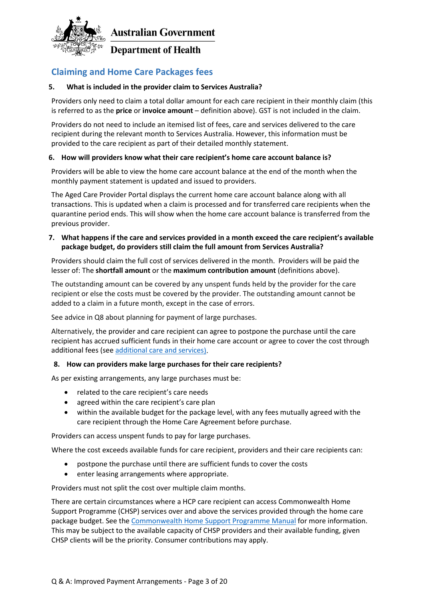

**Department of Health** 

### <span id="page-2-0"></span>**Claiming and Home Care Packages fees**

### **5. What is included in the provider claim to Services Australia?**

Providers only need to claim a total dollar amount for each care recipient in their monthly claim (this is referred to as the **[price](#page-1-1)** or **invoice amount** – definitio[n above\)](#page-1-1). GST is not included in the claim.

Providers do not need to include an itemised list of fees, care and services delivered to the care recipient during the relevant month to Services Australia. However, this information must be provided to the care recipient as part of their detailed monthly statement.

### **6. How will providers know what their care recipient's home care account balance is?**

Providers will be able to view the home care account balance at the end of the month when the monthly payment statement is updated and issued to providers.

The Aged Care Provider Portal displays the current home care account balance along with all transactions. This is updated when a claim is processed and for transferred care recipients when the quarantine period ends. This will show when the home care account balance is transferred from the previous provider.

### **7. What happens if the care and services provided in a month exceed the care recipient's available package budget, do providers still claim the full amount from Services Australia?**

Providers should claim the full cost of services delivered in the month. Providers will be paid the lesser of: The **[shortfall amount](#page-1-2)** or the **[maximum contribution amount](#page-1-3)** (definitions above).

The outstanding amount can be covered by any unspent funds held by the provider for the care recipient or else the costs must be covered by the provider. The outstanding amount cannot be added to a claim in a future month, except in the case of errors.

See advice in Q8 about planning for payment of large purchases.

Alternatively, the provider and care recipient can agree to postpone the purchase until the care recipient has accrued sufficient funds in their home care account or agree to cover the cost through additional fees (se[e additional care and services\)](#page-10-2).

### **8. How can providers make large purchases for their care recipients?**

As per existing arrangements, any large purchases must be:

- related to the care recipient's care needs
- agreed within the care recipient's care plan
- within the available budget for the package level, with any fees mutually agreed with the care recipient through the Home Care Agreement before purchase.

Providers can access unspent funds to pay for large purchases.

Where the cost exceeds available funds for care recipient, providers and their care recipients can:

- postpone the purchase until there are sufficient funds to cover the costs
- enter leasing arrangements where appropriate.

Providers must not split the cost over multiple claim months.

There are certain circumstances where a HCP care recipient can access Commonwealth Home Support Programme (CHSP) services over and above the services provided through the home care package budget. See the [Commonwealth Home Support Programme Manual](https://www.health.gov.au/resources/publications/commonwealth-home-support-programme-chsp-manual) for more information. This may be subject to the available capacity of CHSP providers and their available funding, given CHSP clients will be the priority. Consumer contributions may apply.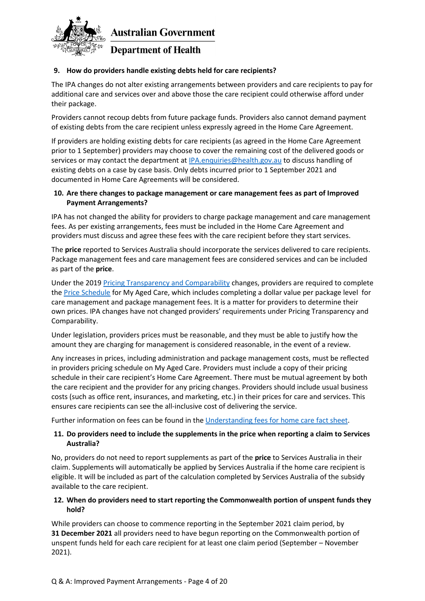

### **9. How do providers handle existing debts held for care recipients?**

The IPA changes do not alter existing arrangements between providers and care recipients to pay for additional care and services over and above those the care recipient could otherwise afford under their package.

Providers cannot recoup debts from future package funds. Providers also cannot demand payment of existing debts from the care recipient unless expressly agreed in the Home Care Agreement.

If providers are holding existing debts for care recipients (as agreed in the Home Care Agreement prior to 1 September) providers may choose to cover the remaining cost of the delivered goods or services or may contact the department a[t IPA.enquiries@health.gov.au](mailto:IPA.enquiries@health.gov.au) to discuss handling of existing debts on a case by case basis. Only debts incurred prior to 1 September 2021 and documented in Home Care Agreements will be considered.

### **10. Are there changes to package management or care management fees as part of Improved Payment Arrangements?**

IPA has not changed the ability for providers to charge package management and care management fees. As per existing arrangements, fees must be included in the Home Care Agreement and providers must discuss and agree these fees with the care recipient before they start services.

The **[price](#page-1-1)** reported to Services Australia should incorporate the services delivered to care recipients. Package management fees and care management fees are considered services and can be included as part of the **price**.

Under the 201[9 Pricing Transparency and Comparability](https://www.health.gov.au/initiatives-and-programs/home-care-packages-program/managing-home-care-packages/price-transparency-for-home-care-packages#:%7E:text=%20Price%20transparency%20means%20you%3A%20%201%20publish,meet%20the%20requirements%20for%20administration%20costs%20More%20) changes, providers are required to complete the [Price Schedule](https://www.health.gov.au/resources/publications/home-care-pricing-schedule-example) for My Aged Care, which includes completing a dollar value per package level for care management and package management fees. It is a matter for providers to determine their own prices. IPA changes have not changed providers' requirements under Pricing Transparency and Comparability.

Under legislation, providers prices must be reasonable, and they must be able to justify how the amount they are charging for management is considered reasonable, in the event of a review.

Any increases in prices, including administration and package management costs, must be reflected in providers pricing schedule on My Aged Care. Providers must include a copy of their pricing schedule in their care recipient's Home Care Agreement. There must be mutual agreement by both the care recipient and the provider for any pricing changes. Providers should include usual business costs (such as office rent, insurances, and marketing, etc.) in their prices for care and services. This ensures care recipients can see the all-inclusive cost of delivering the service.

Further information on fees can be found in the [Understanding fees for home care](https://www.health.gov.au/resources/publications/understanding-fees-for-home-care) fact sheet.

### **11. Do providers need to include the supplements in the price when reporting a claim to Services Australia?**

No, providers do not need to report supplements as part of the **[price](#page-1-1)** to Services Australia in their claim. Supplements will automatically be applied by Services Australia if the home care recipient is eligible. It will be included as part of the calculation completed by Services Australia of the subsidy available to the care recipient.

### **12. When do providers need to start reporting the Commonwealth portion of unspent funds they hold?**

While providers can choose to commence reporting in the September 2021 claim period, by **31 December 2021** all providers need to have begun reporting on the Commonwealth portion of unspent funds held for each care recipient for at least one claim period (September – November 2021).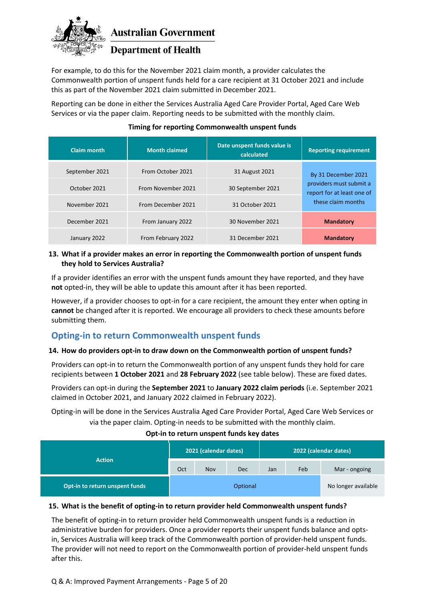

### **Department of Health**

For example, to do this for the November 2021 claim month, a provider calculates the Commonwealth portion of unspent funds held for a care recipient at 31 October 2021 and include this as part of the November 2021 claim submitted in December 2021.

Reporting can be done in either the Services Australia Aged Care Provider Portal, Aged Care Web Services or via the paper claim. Reporting needs to be submitted with the monthly claim.

| <b>Claim month</b> | <b>Month claimed</b> | Date unspent funds value is<br>calculated | <b>Reporting requirement</b>                          |  |
|--------------------|----------------------|-------------------------------------------|-------------------------------------------------------|--|
| September 2021     | From October 2021    | 31 August 2021                            | By 31 December 2021                                   |  |
| October 2021       | From November 2021   | 30 September 2021                         | providers must submit a<br>report for at least one of |  |
| November 2021      | From December 2021   | 31 October 2021                           | these claim months                                    |  |
| December 2021      | From January 2022    | 30 November 2021                          | <b>Mandatory</b>                                      |  |
| January 2022       | From February 2022   | 31 December 2021                          | <b>Mandatory</b>                                      |  |

### **Timing for reporting Commonwealth unspent funds**

### **13. What if a provider makes an error in reporting the Commonwealth portion of unspent funds they hold to Services Australia?**

If a provider identifies an error with the unspent funds amount they have reported, and they have **not** opted-in, they will be able to update this amount after it has been reported.

However, if a provider chooses to opt-in for a care recipient, the amount they enter when opting in **cannot** be changed after it is reported. We encourage all providers to check these amounts before submitting them.

### <span id="page-4-0"></span>**Opting-in to return Commonwealth unspent funds**

#### **14. How do providers opt-in to draw down on the Commonwealth portion of unspent funds?**

Providers can opt-in to return the Commonwealth portion of any unspent funds they hold for care recipients between **1 October 2021** and **28 February 2022** (see table below). These are fixed dates.

Providers can opt-in during the **September 2021** to **January 2022 claim periods** (i.e. September 2021 claimed in October 2021, and January 2022 claimed in February 2022).

Opting-in will be done in the Services Australia Aged Care Provider Portal, Aged Care Web Services or via the paper claim. Opting-in needs to be submitted with the monthly claim.

#### **Opt-in to return unspent funds key dates**

|                                | 2021 (calendar dates) |     | 2022 (calendar dates) |     |     |                     |
|--------------------------------|-----------------------|-----|-----------------------|-----|-----|---------------------|
| <b>Action</b>                  | Oct                   | Nov | <b>Dec</b>            | Jan | Feb | Mar - ongoing       |
| Opt-in to return unspent funds |                       |     | Optional              |     |     | No longer available |

### **15. What is the benefit of opting-in to return provider held Commonwealth unspent funds?**

The benefit of opting-in to return provider held Commonwealth unspent funds is a reduction in administrative burden for providers. Once a provider reports their unspent funds balance and optsin, Services Australia will keep track of the Commonwealth portion of provider-held unspent funds. The provider will not need to report on the Commonwealth portion of provider-held unspent funds after this.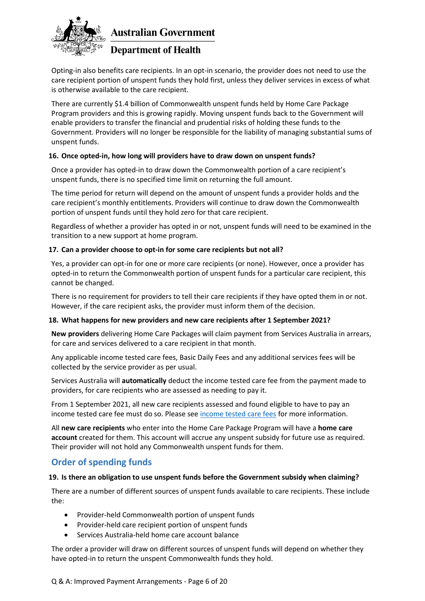

### **Department of Health**

Opting-in also benefits care recipients. In an opt-in scenario, the provider does not need to use the care recipient portion of unspent funds they hold first, unless they deliver services in excess of what is otherwise available to the care recipient.

There are currently \$1.4 billion of Commonwealth unspent funds held by Home Care Package Program providers and this is growing rapidly. Moving unspent funds back to the Government will enable providers to transfer the financial and prudential risks of holding these funds to the Government. Providers will no longer be responsible for the liability of managing substantial sums of unspent funds.

### **16. Once opted-in, how long will providers have to draw down on unspent funds?**

Once a provider has opted-in to draw down the Commonwealth portion of a care recipient's unspent funds, there is no specified time limit on returning the full amount.

The time period for return will depend on the amount of unspent funds a provider holds and the care recipient's monthly entitlements. Providers will continue to draw down the Commonwealth portion of unspent funds until they hold zero for that care recipient.

Regardless of whether a provider has opted in or not, unspent funds will need to be examined in the transition to a new support at home program.

### **17. Can a provider choose to opt-in for some care recipients but not all?**

Yes, a provider can opt-in for one or more care recipients (or none). However, once a provider has opted-in to return the Commonwealth portion of unspent funds for a particular care recipient, this cannot be changed.

There is no requirement for providers to tell their care recipients if they have opted them in or not. However, if the care recipient asks, the provider must inform them of the decision.

### **18. What happens for new providers and new care recipients after 1 September 2021?**

**New providers** delivering Home Care Packages will claim payment from Services Australia in arrears, for care and services delivered to a care recipient in that month.

Any applicable income tested care fees, Basic Daily Fees and any additional services fees will be collected by the service provider as per usual.

Services Australia will **automatically** deduct the income tested care fee from the payment made to providers, for care recipients who are assessed as needing to pay it.

From 1 September 2021, all new care recipients assessed and found eligible to have to pay an income tested care fee must do so. Please see [income tested](#page-6-0) care fees for more information.

All **new care recipients** who enter into the Home Care Package Program will have a **home care account** created for them. This account will accrue any unspent subsidy for future use as required. Their provider will not hold any Commonwealth unspent funds for them.

### **Order of spending funds**

### **19. Is there an obligation to use unspent funds before the Government subsidy when claiming?**

There are a number of different sources of unspent funds available to care recipients. These include the:

- <span id="page-5-0"></span>• Provider-held Commonwealth portion of unspent funds
- Provider-held care recipient portion of unspent funds
- Services Australia-held home care account balance

The order a provider will draw on different sources of unspent funds will depend on whether they have opted-in to return the unspent Commonwealth funds they hold.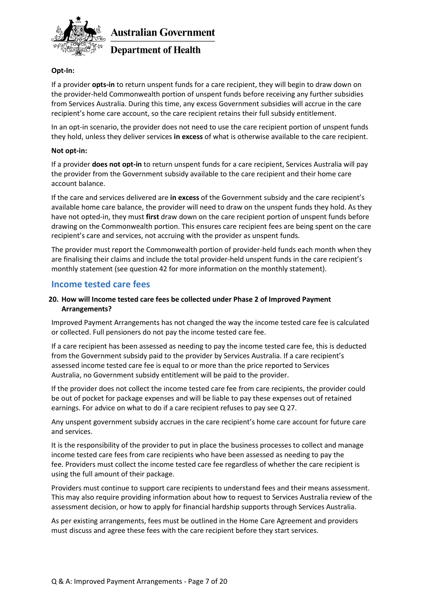

### **Department of Health**

### **Opt-In:**

If a provider **opts-in** to return unspent funds for a care recipient, they will begin to draw down on the provider-held Commonwealth portion of unspent funds before receiving any further subsidies from Services Australia. During this time, any excess Government subsidies will accrue in the care recipient's home care account, so the care recipient retains their full subsidy entitlement.

In an opt-in scenario, the provider does not need to use the care recipient portion of unspent funds they hold, unless they deliver services **in excess** of what is otherwise available to the care recipient.

### **Not opt-in:**

If a provider **does not opt-in** to return unspent funds for a care recipient, Services Australia will pay the provider from the Government subsidy available to the care recipient and their home care account balance.

If the care and services delivered are **in excess** of the Government subsidy and the care recipient's available home care balance, the provider will need to draw on the unspent funds they hold. As they have not opted-in, they must **first** draw down on the care recipient portion of unspent funds before drawing on the Commonwealth portion. This ensures care recipient fees are being spent on the care recipient's care and services, not accruing with the provider as unspent funds.

The provider must report the Commonwealth portion of provider-held funds each month when they are finalising their claims and include the total provider-held unspent funds in the care recipient's monthly statement (see question 42 for more information on the monthly statement).

### <span id="page-6-0"></span>**Income tested care fees**

### <span id="page-6-1"></span>**20. How will Income tested care fees be collected under Phase 2 of Improved Payment Arrangements?**

Improved Payment Arrangements has not changed the way the income tested care fee is calculated or collected. Full pensioners do not pay the income tested care fee.

If a care recipient has been assessed as needing to pay the income tested care fee, this is deducted from the Government subsidy paid to the provider by Services Australia. If a care recipient's assessed income tested care fee is equal to or more than the price reported to Services Australia, no Government subsidy entitlement will be paid to the provider.

If the provider does not collect the income tested care fee from care recipients, the provider could be out of pocket for package expenses and will be liable to pay these expenses out of retained earnings. For advice on what to do if a care recipient refuses to pay see Q 27.

Any unspent government subsidy accrues in the care recipient's home care account for future care and services.

It is the responsibility of the provider to put in place the business processes to collect and manage income tested care fees from care recipients who have been assessed as needing to pay the fee. Providers must collect the income tested care fee regardless of whether the care recipient is using the full amount of their package.

Providers must continue to support care recipients to understand fees and their means assessment. This may also require providing information about how to request to Services Australia review of the assessment decision, or how to apply for financial hardship supports through Services Australia.

As per existing arrangements, fees must be outlined in the Home Care Agreement and providers must discuss and agree these fees with the care recipient before they start services.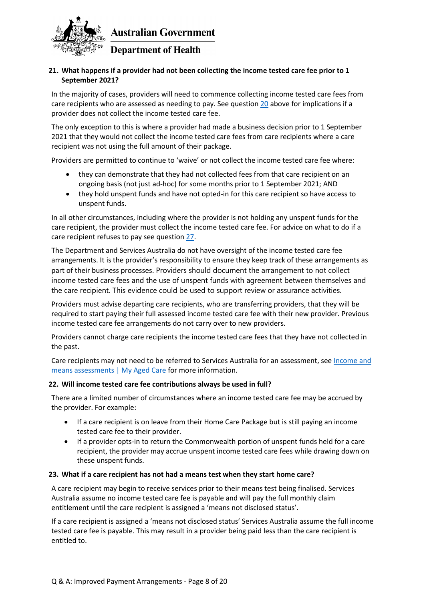

### <span id="page-7-0"></span>**21. What happens if a provider had not been collecting the income tested care fee prior to 1 September 2021?**

In the majority of cases, providers will need to commence collecting income tested care fees from care recipients who are assessed as needing to pay. See question [20](#page-6-1) above for implications if a provider does not collect the income tested care fee.

The only exception to this is where a provider had made a business decision prior to 1 September 2021 that they would not collect the income tested care fees from care recipients where a care recipient was not using the full amount of their package.

Providers are permitted to continue to 'waive' or not collect the income tested care fee where:

- they can demonstrate that they had not collected fees from that care recipient on an ongoing basis (not just ad-hoc) for some months prior to 1 September 2021; AND
- they hold unspent funds and have not opted-in for this care recipient so have access to unspent funds.

In all other circumstances, including where the provider is not holding any unspent funds for the care recipient, the provider must collect the income tested care fee. For advice on what to do if a care recipient refuses to pay see question [27.](#page-9-1)

The Department and Services Australia do not have oversight of the income tested care fee arrangements. It is the provider's responsibility to ensure they keep track of these arrangements as part of their business processes. Providers should document the arrangement to not collect income tested care fees and the use of unspent funds with agreement between themselves and the care recipient. This evidence could be used to support review or assurance activities.

Providers must advise departing care recipients, who are transferring providers, that they will be required to start paying their full assessed income tested care fee with their new provider. Previous income tested care fee arrangements do not carry over to new providers.

Providers cannot charge care recipients the income tested care fees that they have not collected in the past.

Care recipients may not need to be referred to Services Australia for an assessment, see Income and [means assessments | My Aged Care](https://www.myagedcare.gov.au/income-and-means-assessments/) for more information.

#### **22. Will income tested care fee contributions always be used in full?**

There are a limited number of circumstances where an income tested care fee may be accrued by the provider. For example:

- If a care recipient is on leave from their Home Care Package but is still paying an income tested care fee to their provider.
- If a provider opts-in to return the Commonwealth portion of unspent funds held for a care recipient, the provider may accrue unspent income tested care fees while drawing down on these unspent funds.

#### **23. What if a care recipient has not had a means test when they start home care?**

A care recipient may begin to receive services prior to their means test being finalised. Services Australia assume no income tested care fee is payable and will pay the full monthly claim entitlement until the care recipient is assigned a 'means not disclosed status'.

If a care recipient is assigned a 'means not disclosed status' Services Australia assume the full income tested care fee is payable. This may result in a provider being paid less than the care recipient is entitled to.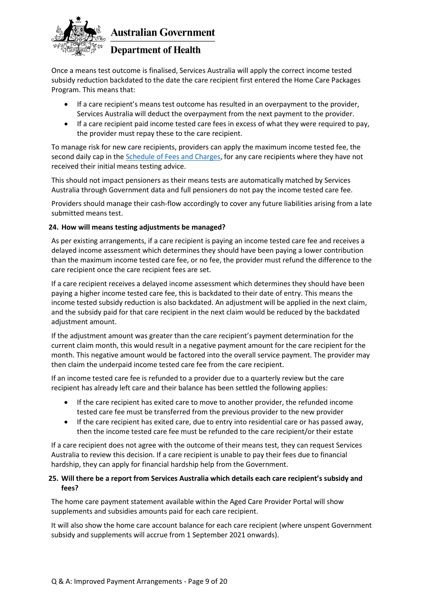

### **Department of Health**

Once a means test outcome is finalised, Services Australia will apply the correct income tested subsidy reduction backdated to the date the care recipient first entered the Home Care Packages Program. This means that:

- If a care recipient's means test outcome has resulted in an overpayment to the provider, Services Australia will deduct the overpayment from the next payment to the provider.
- If a care recipient paid income tested care fees in excess of what they were required to pay, the provider must repay these to the care recipient.

To manage risk for new care recipients, providers can apply the maximum income tested fee, the second daily cap in the [Schedule of Fees and Charges,](https://www.health.gov.au/resources/publications/schedule-of-fees-and-charges-for-residential-and-home-care) for any care recipients where they have not received their initial means testing advice.

This should not impact pensioners as their means tests are automatically matched by Services Australia through Government data and full pensioners do not pay the income tested care fee.

Providers should manage their cash-flow accordingly to cover any future liabilities arising from a late submitted means test.

### **24. How will means testing adjustments be managed?**

As per existing arrangements, if a care recipient is paying an income tested care fee and receives a delayed income assessment which determines they should have been paying a lower contribution than the maximum income tested care fee, or no fee, the provider must refund the difference to the care recipient once the care recipient fees are set.

If a care recipient receives a delayed income assessment which determines they should have been paying a higher income tested care fee, this is backdated to their date of entry. This means the income tested subsidy reduction is also backdated. An adjustment will be applied in the next claim, and the subsidy paid for that care recipient in the next claim would be reduced by the backdated adjustment amount.

If the adjustment amount was greater than the care recipient's payment determination for the current claim month, this would result in a negative payment amount for the care recipient for the month. This negative amount would be factored into the overall service payment. The provider may then claim the underpaid income tested care fee from the care recipient.

If an income tested care fee is refunded to a provider due to a quarterly review but the care recipient has already left care and their balance has been settled the following applies:

- If the care recipient has exited care to move to another provider, the refunded income tested care fee must be transferred from the previous provider to the new provider
- If the care recipient has exited care, due to entry into residential care or has passed away, then the income tested care fee must be refunded to the care recipient/or their estate

If a care recipient does not agree with the outcome of their means test, they can request Services Australia to review this decision. If a care recipient is unable to pay their fees due to financial hardship, they can apply for financial hardship help from the Government.

### **25. Will there be a report from Services Australia which details each care recipient's subsidy and fees?**

The home care payment statement available within the Aged Care Provider Portal will show supplements and subsidies amounts paid for each care recipient.

It will also show the home care account balance for each care recipient (where unspent Government subsidy and supplements will accrue from 1 September 2021 onwards).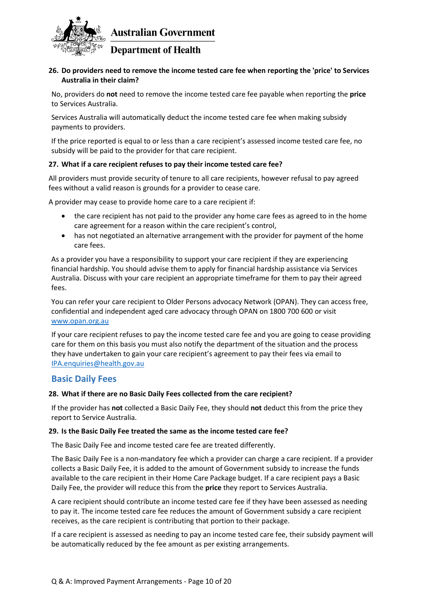

### **26. Do providers need to remove the income tested care fee when reporting the 'price' to Services Australia in their claim?**

No, providers do **not** need to remove the income tested care fee payable when reporting the **[price](#page-1-1)** to Services Australia.

Services Australia will automatically deduct the income tested care fee when making subsidy payments to providers.

If the price reported is equal to or less than a care recipient's assessed income tested care fee, no subsidy will be paid to the provider for that care recipient.

### <span id="page-9-1"></span>**27. What if a care recipient refuses to pay their income tested care fee?**

All providers must provide security of tenure to all care recipients, however refusal to pay agreed fees without a valid reason is grounds for a provider to cease care.

A provider may cease to provide home care to a care recipient if:

- the care recipient has not paid to the provider any home care fees as agreed to in the home care agreement for a reason within the care recipient's control,
- has not negotiated an alternative arrangement with the provider for payment of the home care fees.

As a provider you have a responsibility to support your care recipient if they are experiencing financial hardship. You should advise them to apply for financial hardship assistance via Services Australia. Discuss with your care recipient an appropriate timeframe for them to pay their agreed fees.

You can refer your care recipient to Older Persons advocacy Network (OPAN). They can access free, confidential and independent aged care advocacy through OPAN on 1800 700 600 or visit [www.opan.org.au](http://www.opan.org.au/)

If your care recipient refuses to pay the income tested care fee and you are going to cease providing care for them on this basis you must also notify the department of the situation and the process they have undertaken to gain your care recipient's agreement to pay their fees via email to [IPA.enquiries@health.gov.au](mailto:IPA.enquiries@health.gov.au)

### <span id="page-9-0"></span>**Basic Daily Fees**

#### **28. What if there are no Basic Daily Fees collected from the care recipient?**

If the provider has **not** collected a Basic Daily Fee, they should **not** deduct this from the price they report to Service Australia.

#### **29. Is the Basic Daily Fee treated the same as the income tested care fee?**

The Basic Daily Fee and income tested care fee are treated differently.

The Basic Daily Fee is a non-mandatory fee which a provider can charge a care recipient. If a provider collects a Basic Daily Fee, it is added to the amount of Government subsidy to increase the funds available to the care recipient in their Home Care Package budget. If a care recipient pays a Basic Daily Fee, the provider will reduce this from the **[price](#page-1-1)** they report to Services Australia.

A care recipient should contribute an income tested care fee if they have been assessed as needing to pay it. The income tested care fee reduces the amount of Government subsidy a care recipient receives, as the care recipient is contributing that portion to their package.

If a care recipient is assessed as needing to pay an income tested care fee, their subsidy payment will be automatically reduced by the fee amount as per existing arrangements.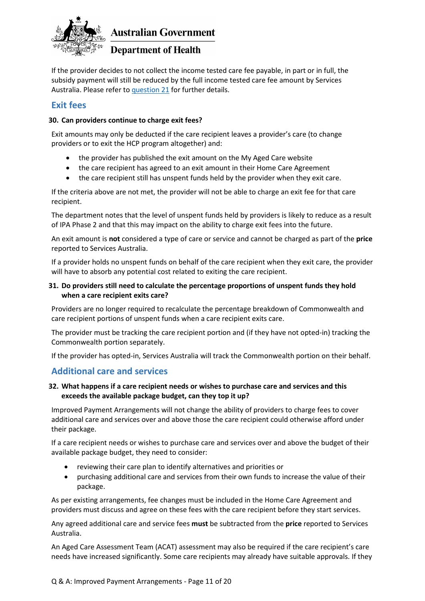

### **Department of Health**

If the provider decides to not collect the income tested care fee payable, in part or in full, the subsidy payment will still be reduced by the full income tested care fee amount by Services Australia. Please refer t[o question 21](#page-7-0) for further details.

### <span id="page-10-0"></span>**Exit fees**

### **30. Can providers continue to charge exit fees?**

Exit amounts may only be deducted if the care recipient leaves a provider's care (to change providers or to exit the HCP program altogether) and:

- the provider has published the exit amount on the My Aged Care website
- the care recipient has agreed to an exit amount in their Home Care Agreement
- the care recipient still has unspent funds held by the provider when they exit care.

If the criteria above are not met, the provider will not be able to charge an exit fee for that care recipient.

The department notes that the level of unspent funds held by providers is likely to reduce as a result of IPA Phase 2 and that this may impact on the ability to charge exit fees into the future.

<span id="page-10-2"></span>An exit amount is **not** considered a type of care or service and cannot be charged as part of the **[price](#page-1-1)** reported to Services Australia.

If a provider holds no unspent funds on behalf of the care recipient when they exit care, the provider will have to absorb any potential cost related to exiting the care recipient.

### **31. Do providers still need to calculate the percentage proportions of unspent funds they hold when a care recipient exits care?**

Providers are no longer required to recalculate the percentage breakdown of Commonwealth and care recipient portions of unspent funds when a care recipient exits care.

The provider must be tracking the care recipient portion and (if they have not opted-in) tracking the Commonwealth portion separately.

<span id="page-10-1"></span>If the provider has opted-in, Services Australia will track the Commonwealth portion on their behalf.

### **Additional care and services**

### **32. What happens if a care recipient needs or wishes to purchase care and services and this exceeds the available package budget, can they top it up?**

Improved Payment Arrangements will not change the ability of providers to charge fees to cover additional care and services over and above those the care recipient could otherwise afford under their package.

If a care recipient needs or wishes to purchase care and services over and above the budget of their available package budget, they need to consider:

- reviewing their care plan to identify alternatives and priorities or
- purchasing additional care and services from their own funds to increase the value of their package.

As per existing arrangements, fee changes must be included in the Home Care Agreement and providers must discuss and agree on these fees with the care recipient before they start services.

Any agreed additional care and service fees **must** be subtracted from the **[price](#page-1-1)** reported to Services Australia.

An Aged Care Assessment Team (ACAT) assessment may also be required if the care recipient's care needs have increased significantly. Some care recipients may already have suitable approvals. If they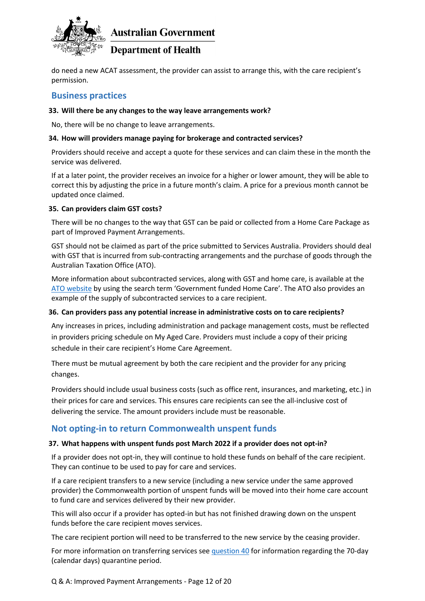

### **Department of Health**

<span id="page-11-0"></span>do need a new ACAT assessment, the provider can assist to arrange this, with the care recipient's permission.

### **Business practices**

#### **33. Will there be any changes to the way leave arrangements work?**

No, there will be no change to leave arrangements.

### **34. How will providers manage paying for brokerage and contracted services?**

Providers should receive and accept a quote for these services and can claim these in the month the service was delivered.

If at a later point, the provider receives an invoice for a higher or lower amount, they will be able to correct this by adjusting the price in a future month's claim. A price for a previous month cannot be updated once claimed.

### **35. Can providers claim GST costs?**

There will be no changes to the way that GST can be paid or collected from a Home Care Package as part of Improved Payment Arrangements.

GST should not be claimed as part of the price submitted to Services Australia. Providers should deal with GST that is incurred from sub-contracting arrangements and the purchase of goods through the Australian Taxation Office (ATO).

More information about subcontracted services, along with GST and home care, is available at the [ATO website](https://www.ato.gov.au/) by using the search term 'Government funded Home Care'. The ATO also provides an example of the supply of subcontracted services to a care recipient.

#### **36. Can providers pass any potential increase in administrative costs on to care recipients?**

Any increases in prices, including administration and package management costs, must be reflected in providers pricing schedule on My Aged Care. Providers must include a copy of their pricing schedule in their care recipient's Home Care Agreement.

There must be mutual agreement by both the care recipient and the provider for any pricing changes.

Providers should include usual business costs (such as office rent, insurances, and marketing, etc.) in their prices for care and services. This ensures care recipients can see the all-inclusive cost of delivering the service. The amount providers include must be reasonable.

### <span id="page-11-1"></span>**Not opting-in to return Commonwealth unspent funds**

#### **37. What happens with unspent funds post March 2022 if a provider does not opt-in?**

If a provider does not opt-in, they will continue to hold these funds on behalf of the care recipient. They can continue to be used to pay for care and services.

If a care recipient transfers to a new service (including a new service under the same approved provider) the Commonwealth portion of unspent funds will be moved into their home care account to fund care and services delivered by their new provider.

This will also occur if a provider has opted-in but has not finished drawing down on the unspent funds before the care recipient moves services.

The care recipient portion will need to be transferred to the new service by the ceasing provider.

For more information on transferring services see [question 40](#page-14-0) for information regarding the 70-day (calendar days) quarantine period.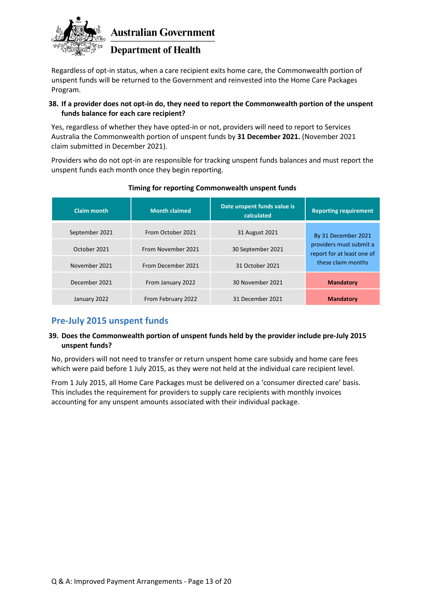

### **Department of Health**

Regardless of opt-in status, when a care recipient exits home care, the Commonwealth portion of unspent funds will be returned to the Government and reinvested into the Home Care Packages Program.

### **38. If a provider does not opt-in do, they need to report the Commonwealth portion of the unspent funds balance for each care recipient?**

Yes, regardless of whether they have opted-in or not, providers will need to report to Services Australia the Commonwealth portion of unspent funds by **31 December 2021.** (November 2021 claim submitted in December 2021).

Providers who do not opt-in are responsible for tracking unspent funds balances and must report the unspent funds each month once they begin reporting.

| Claim month    | <b>Month claimed</b> | Date unspent funds value is<br>calculated | <b>Reporting requirement</b>                                                |  |
|----------------|----------------------|-------------------------------------------|-----------------------------------------------------------------------------|--|
| September 2021 | From October 2021    | 31 August 2021                            | By 31 December 2021                                                         |  |
| October 2021   | From November 2021   | 30 September 2021                         | providers must submit a<br>report for at least one of<br>these claim months |  |
| November 2021  | From December 2021   | 31 October 2021                           |                                                                             |  |
| December 2021  | From January 2022    | 30 November 2021                          | <b>Mandatory</b>                                                            |  |
| January 2022   | From February 2022   | 31 December 2021                          | <b>Mandatory</b>                                                            |  |

### **Timing for reporting Commonwealth unspent funds**

### <span id="page-12-0"></span>**Pre-July 2015 unspent funds**

### **39. Does the Commonwealth portion of unspent funds held by the provider include pre-July 2015 unspent funds?**

No, providers will not need to transfer or return unspent home care subsidy and home care fees which were paid before 1 July 2015, as they were not held at the individual care recipient level.

<span id="page-12-1"></span>From 1 July 2015, all Home Care Packages must be delivered on a 'consumer directed care' basis. This includes the requirement for providers to supply care recipients with monthly invoices accounting for any unspent amounts associated with their individual package.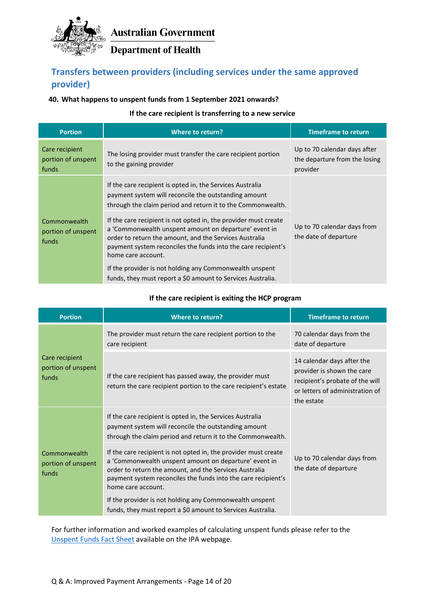

**Department of Health** 

### **Transfers between providers (including services under the same approved provider)**

### **40. What happens to unspent funds from 1 September 2021 onwards?**

### **If the care recipient is transferring to a new service**

| <b>Portion</b>                                | Where to return?                                                                                                                                                                                                                                                          | <b>Timeframe to return</b>                                                |  |
|-----------------------------------------------|---------------------------------------------------------------------------------------------------------------------------------------------------------------------------------------------------------------------------------------------------------------------------|---------------------------------------------------------------------------|--|
| Care recipient<br>portion of unspent<br>funds | The losing provider must transfer the care recipient portion<br>to the gaining provider                                                                                                                                                                                   | Up to 70 calendar days after<br>the departure from the losing<br>provider |  |
|                                               | If the care recipient is opted in, the Services Australia<br>payment system will reconcile the outstanding amount<br>through the claim period and return it to the Commonwealth.                                                                                          |                                                                           |  |
| Commonwealth<br>portion of unspent<br>funds   | If the care recipient is not opted in, the provider must create<br>a 'Commonwealth unspent amount on departure' event in<br>order to return the amount, and the Services Australia<br>payment system reconciles the funds into the care recipient's<br>home care account. | Up to 70 calendar days from<br>the date of departure                      |  |
|                                               | If the provider is not holding any Commonwealth unspent<br>funds, they must report a \$0 amount to Services Australia.                                                                                                                                                    |                                                                           |  |

### **If the care recipient is exiting the HCP program**

| <b>Portion</b>                                | <b>Where to return?</b>                                                                                                                                                                                                                                                   | <b>Timeframe to return</b>                                                                                                                   |  |
|-----------------------------------------------|---------------------------------------------------------------------------------------------------------------------------------------------------------------------------------------------------------------------------------------------------------------------------|----------------------------------------------------------------------------------------------------------------------------------------------|--|
| Care recipient<br>portion of unspent<br>funds | The provider must return the care recipient portion to the<br>care recipient                                                                                                                                                                                              | 70 calendar days from the<br>date of departure                                                                                               |  |
|                                               | If the care recipient has passed away, the provider must<br>return the care recipient portion to the care recipient's estate                                                                                                                                              | 14 calendar days after the<br>provider is shown the care<br>recipient's probate of the will<br>or letters of administration of<br>the estate |  |
|                                               | If the care recipient is opted in, the Services Australia<br>payment system will reconcile the outstanding amount<br>through the claim period and return it to the Commonwealth.                                                                                          | Up to 70 calendar days from<br>the date of departure                                                                                         |  |
| Commonwealth<br>portion of unspent<br>funds   | If the care recipient is not opted in, the provider must create<br>a 'Commonwealth unspent amount on departure' event in<br>order to return the amount, and the Services Australia<br>payment system reconciles the funds into the care recipient's<br>home care account. |                                                                                                                                              |  |
|                                               | If the provider is not holding any Commonwealth unspent<br>funds, they must report a \$0 amount to Services Australia.                                                                                                                                                    |                                                                                                                                              |  |

For further information and worked examples of calculating unspent funds please refer to the [Unspent Funds Fact Sheet](https://www.health.gov.au/resources/apps-and-tools/improved-payment-arrangements-ipa-for-home-care-subsidy-estimator-and-unspent-funds-examples) available on the IPA webpage.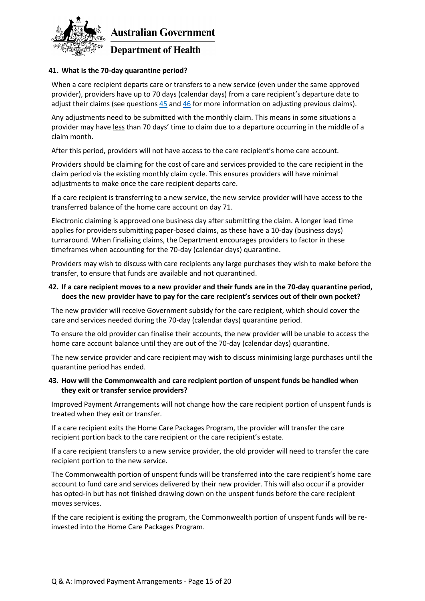

### <span id="page-14-0"></span>**41. What is the 70-day quarantine period?**

When a care recipient departs care or transfers to a new service (even under the same approved provider), providers have up to 70 days (calendar days) from a care recipient's departure date to adjust their claims (see questions  $45$  and  $46$  for more information on adjusting previous claims).

Any adjustments need to be submitted with the monthly claim. This means in some situations a provider may have less than 70 days' time to claim due to a departure occurring in the middle of a claim month.

After this period, providers will not have access to the care recipient's home care account.

Providers should be claiming for the cost of care and services provided to the care recipient in the claim period via the existing monthly claim cycle. This ensures providers will have minimal adjustments to make once the care recipient departs care.

If a care recipient is transferring to a new service, the new service provider will have access to the transferred balance of the home care account on day 71.

Electronic claiming is approved one business day after submitting the claim. A longer lead time applies for providers submitting paper-based claims, as these have a 10-day (business days) turnaround. When finalising claims, the Department encourages providers to factor in these timeframes when accounting for the 70-day (calendar days) quarantine.

Providers may wish to discuss with care recipients any large purchases they wish to make before the transfer, to ensure that funds are available and not quarantined.

#### **42. If a care recipient moves to a new provider and their funds are in the 70-day quarantine period, does the new provider have to pay for the care recipient's services out of their own pocket?**

The new provider will receive Government subsidy for the care recipient, which should cover the care and services needed during the 70-day (calendar days) quarantine period.

To ensure the old provider can finalise their accounts, the new provider will be unable to access the home care account balance until they are out of the 70-day (calendar days) quarantine.

The new service provider and care recipient may wish to discuss minimising large purchases until the quarantine period has ended.

#### **43. How will the Commonwealth and care recipient portion of unspent funds be handled when they exit or transfer service providers?**

Improved Payment Arrangements will not change how the care recipient portion of unspent funds is treated when they exit or transfer.

If a care recipient exits the Home Care Packages Program, the provider will transfer the care recipient portion back to the care recipient or the care recipient's estate.

If a care recipient transfers to a new service provider, the old provider will need to transfer the care recipient portion to the new service.

The Commonwealth portion of unspent funds will be transferred into the care recipient's home care account to fund care and services delivered by their new provider. This will also occur if a provider has opted-in but has not finished drawing down on the unspent funds before the care recipient moves services.

If the care recipient is exiting the program, the Commonwealth portion of unspent funds will be reinvested into the Home Care Packages Program.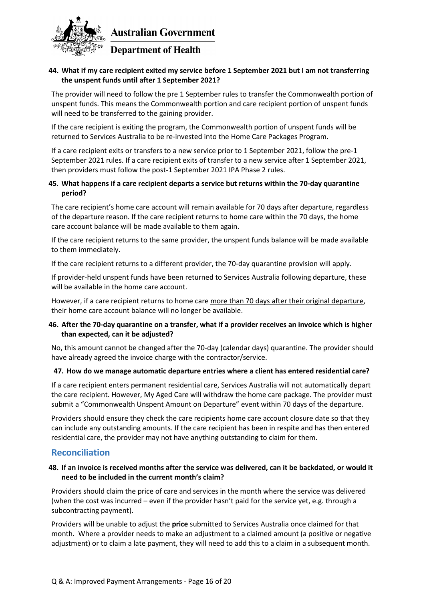

### **44. What if my care recipient exited my service before 1 September 2021 but I am not transferring the unspent funds until after 1 September 2021?**

The provider will need to follow the pre 1 September rules to transfer the Commonwealth portion of unspent funds. This means the Commonwealth portion and care recipient portion of unspent funds will need to be transferred to the gaining provider.

If the care recipient is exiting the program, the Commonwealth portion of unspent funds will be returned to Services Australia to be re-invested into the Home Care Packages Program.

If a care recipient exits or transfers to a new service prior to 1 September 2021, follow the pre-1 September 2021 rules. If a care recipient exits of transfer to a new service after 1 September 2021, then providers must follow the post-1 September 2021 IPA Phase 2 rules.

### **45. What happens if a care recipient departs a service but returns within the 70-day quarantine period?**

The care recipient's home care account will remain available for 70 days after departure, regardless of the departure reason. If the care recipient returns to home care within the 70 days, the home care account balance will be made available to them again.

If the care recipient returns to the same provider, the unspent funds balance will be made available to them immediately.

If the care recipient returns to a different provider, the 70-day quarantine provision will apply.

If provider-held unspent funds have been returned to Services Australia following departure, these will be available in the home care account.

However, if a care recipient returns to home care more than 70 days after their original departure, their home care account balance will no longer be available.

### **46. After the 70-day quarantine on a transfer, what if a provider receives an invoice which is higher than expected, can it be adjusted?**

No, this amount cannot be changed after the 70-day (calendar days) quarantine. The provider should have already agreed the invoice charge with the contractor/service.

### **47. How do we manage automatic departure entries where a client has entered residential care?**

If a care recipient enters permanent residential care, Services Australia will not automatically depart the care recipient. However, My Aged Care will withdraw the home care package. The provider must submit a "Commonwealth Unspent Amount on Departure" event within 70 days of the departure.

Providers should ensure they check the care recipients home care account closure date so that they can include any outstanding amounts. If the care recipient has been in respite and has then entered residential care, the provider may not have anything outstanding to claim for them.

### <span id="page-15-0"></span>**Reconciliation**

### <span id="page-15-1"></span>**48. If an invoice is received months after the service was delivered, can it be backdated, or would it need to be included in the current month's claim?**

Providers should claim the price of care and services in the month where the service was delivered (when the cost was incurred – even if the provider hasn't paid for the service yet, e.g. through a subcontracting payment).

Providers will be unable to adjust the **price** submitted to Services Australia once claimed for that month. Where a provider needs to make an adjustment to a claimed amount (a positive or negative adjustment) or to claim a late payment, they will need to add this to a claim in a subsequent month.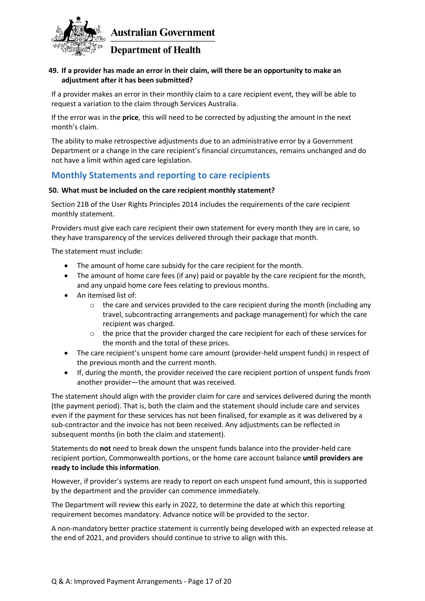

### <span id="page-16-1"></span>**49. If a provider has made an error in their claim, will there be an opportunity to make an adjustment after it has been submitted?**

If a provider makes an error in their monthly claim to a care recipient event, they will be able to request a variation to the claim through Services Australia.

If the error was in the **price**, this will need to be corrected by adjusting the amount in the next month's claim.

The ability to make retrospective adjustments due to an administrative error by a Government Department or a change in the care recipient's financial circumstances, remains unchanged and do not have a limit within aged care legislation.

### <span id="page-16-0"></span>**Monthly Statements and reporting to care recipients**

### <span id="page-16-2"></span>**50. What must be included on the care recipient monthly statement?**

Section 21B of the User Rights Principles 2014 includes the requirements of the care recipient monthly statement.

Providers must give each care recipient their own statement for every month they are in care, so they have transparency of the services delivered through their package that month.

The statement must include:

- The amount of home care subsidy for the care recipient for the month.
- The amount of home care fees (if any) paid or payable by the care recipient for the month, and any unpaid home care fees relating to previous months.
- An itemised list of:
	- $\circ$  the care and services provided to the care recipient during the month (including any travel, subcontracting arrangements and package management) for which the care recipient was charged.
	- o the price that the provider charged the care recipient for each of these services for the month and the total of these prices.
- The care recipient's unspent home care amount (provider-held unspent funds) in respect of the previous month and the current month.
- If, during the month, the provider received the care recipient portion of unspent funds from another provider—the amount that was received.

The statement should align with the provider claim for care and services delivered during the month (the payment period). That is, both the claim and the statement should include care and services even if the payment for these services has not been finalised, for example as it was delivered by a sub-contractor and the invoice has not been received. Any adjustments can be reflected in subsequent months (in both the claim and statement).

Statements do **not** need to break down the unspent funds balance into the provider-held care recipient portion, Commonwealth portions, or the home care account balance **until providers are ready to include this information**.

However, if provider's systems are ready to report on each unspent fund amount, this is supported by the department and the provider can commence immediately.

The Department will review this early in 2022, to determine the date at which this reporting requirement becomes mandatory. Advance notice will be provided to the sector.

A non-mandatory better practice statement is currently being developed with an expected release at the end of 2021, and providers should continue to strive to align with this.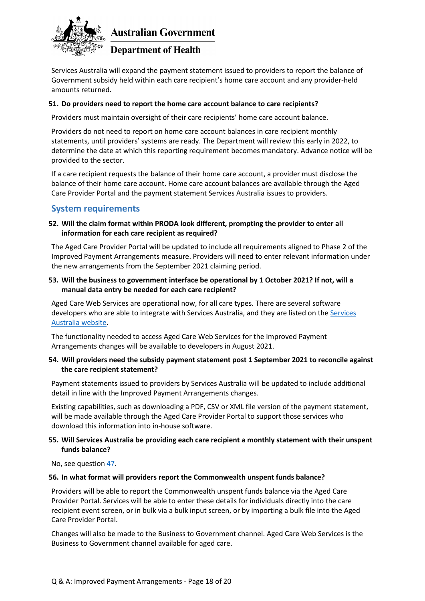

**Department of Health** 

Services Australia will expand the payment statement issued to providers to report the balance of Government subsidy held within each care recipient's home care account and any provider-held amounts returned.

### **51. Do providers need to report the home care account balance to care recipients?**

Providers must maintain oversight of their care recipients' home care account balance.

Providers do not need to report on home care account balances in care recipient monthly statements, until providers' systems are ready. The Department will review this early in 2022, to determine the date at which this reporting requirement becomes mandatory. Advance notice will be provided to the sector.

If a care recipient requests the balance of their home care account, a provider must disclose the balance of their home care account. Home care account balances are available through the Aged Care Provider Portal and the payment statement Services Australia issues to providers.

### <span id="page-17-0"></span>**System requirements**

### **52. Will the claim format within PRODA look different, prompting the provider to enter all information for each care recipient as required?**

The Aged Care Provider Portal will be updated to include all requirements aligned to Phase 2 of the Improved Payment Arrangements measure. Providers will need to enter relevant information under the new arrangements from the September 2021 claiming period.

### **53. Will the business to government interface be operational by 1 October 2021? If not, will a manual data entry be needed for each care recipient?**

Aged Care Web Services are operational now, for all care types. There are several software developers who are able to integrate with Services Australia, and they are listed on th[e Services](https://www.servicesaustralia.gov.au/organisations/health-professionals/subjects/digital-claiming-aged-care-providers/software-developers-aged-care)  [Australia website.](https://www.servicesaustralia.gov.au/organisations/health-professionals/subjects/digital-claiming-aged-care-providers/software-developers-aged-care)

The functionality needed to access Aged Care Web Services for the Improved Payment Arrangements changes will be available to developers in August 2021.

### **54. Will providers need the subsidy payment statement post 1 September 2021 to reconcile against the care recipient statement?**

Payment statements issued to providers by Services Australia will be updated to include additional detail in line with the Improved Payment Arrangements changes.

Existing capabilities, such as downloading a PDF, CSV or XML file version of the payment statement, will be made available through the Aged Care Provider Portal to support those services who download this information into in-house software.

### **55. Will Services Australia be providing each care recipient a monthly statement with their unspent funds balance?**

No, see question [47.](#page-16-2)

#### **56. In what format will providers report the Commonwealth unspent funds balance?**

Providers will be able to report the Commonwealth unspent funds balance via the Aged Care Provider Portal. Services will be able to enter these details for individuals directly into the care recipient event screen, or in bulk via a bulk input screen, or by importing a bulk file into the Aged Care Provider Portal.

Changes will also be made to the Business to Government channel. Aged Care Web Services is the Business to Government channel available for aged care.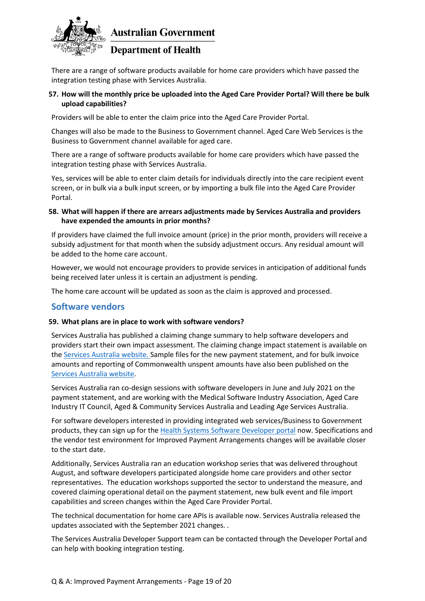

### **Department of Health**

There are a range of software products available for home care providers which have passed the integration testing phase with Services Australia.

### **57. How will the monthly price be uploaded into the Aged Care Provider Portal? Will there be bulk upload capabilities?**

Providers will be able to enter the claim price into the Aged Care Provider Portal.

Changes will also be made to the Business to Government channel. Aged Care Web Services is the Business to Government channel available for aged care.

There are a range of software products available for home care providers which have passed the integration testing phase with Services Australia.

Yes, services will be able to enter claim details for individuals directly into the care recipient event screen, or in bulk via a bulk input screen, or by importing a bulk file into the Aged Care Provider Portal.

### **58. What will happen if there are arrears adjustments made by Services Australia and providers have expended the amounts in prior months?**

If providers have claimed the full invoice amount (price) in the prior month, providers will receive a subsidy adjustment for that month when the subsidy adjustment occurs. Any residual amount will be added to the home care account.

However, we would not encourage providers to provide services in anticipation of additional funds being received later unless it is certain an adjustment is pending.

The home care account will be updated as soon as the claim is approved and processed.

### <span id="page-18-0"></span>**Software vendors**

#### **59. What plans are in place to work with software vendors?**

Services Australia has published a claiming change summary to help software developers and providers start their own impact assessment. The claiming change impact statement is available on the [Services Australia website.](https://www.servicesaustralia.gov.au/organisations/health-professionals/news/improved-payment-arrangements-home-care-providers-are-coming) Sample files for the new payment statement, and for bulk invoice amounts and reporting of Commonwealth unspent amounts have also been published on the [Services Australia website.](https://www.servicesaustralia.gov.au/organisations/health-professionals/news/sample-files-now-available-ipa-changes-home-care)

Services Australia ran co-design sessions with software developers in June and July 2021 on the payment statement, and are working with the Medical Software Industry Association, Aged Care Industry IT Council, Aged & Community Services Australia and Leading Age Services Australia.

For software developers interested in providing integrated web services/Business to Government products, they can sign up for th[e Health Systems Software Developer portal](https://www.servicesaustralia.gov.au/organisations/health-professionals/subjects/getting-started-software-developer-digital-health-and-aged-care-programs) now. Specifications and the vendor test environment for Improved Payment Arrangements changes will be available closer to the start date.

Additionally, Services Australia ran an education workshop series that was delivered throughout August, and software developers participated alongside home care providers and other sector representatives. The education workshops supported the sector to understand the measure, and covered claiming operational detail on the payment statement, new bulk event and file import capabilities and screen changes within the Aged Care Provider Portal.

The technical documentation for home care APIs is available now. Services Australia released the updates associated with the September 2021 changes. .

The Services Australia Developer Support team can be contacted through the Developer Portal and can help with booking integration testing.